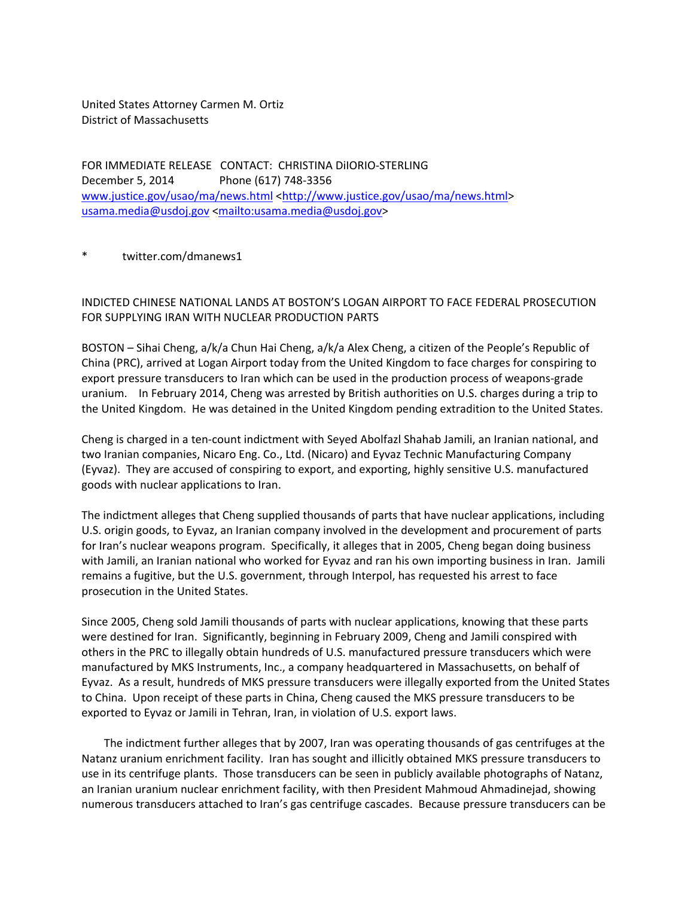United States Attorney Carmen M. Ortiz District of Massachusetts

FOR IMMEDIATE RELEASE CONTACT: CHRISTINA DiIORIO‐STERLING December 5, 2014 Phone (617) 748‐3356 www.justice.gov/usao/ma/news.html <http://www.justice.gov/usao/ma/news.html> usama.media@usdoj.gov <mailto:usama.media@usdoj.gov>

## twitter.com/dmanews1

## INDICTED CHINESE NATIONAL LANDS AT BOSTON'S LOGAN AIRPORT TO FACE FEDERAL PROSECUTION FOR SUPPLYING IRAN WITH NUCLEAR PRODUCTION PARTS

BOSTON – Sihai Cheng, a/k/a Chun Hai Cheng, a/k/a Alex Cheng, a citizen of the People's Republic of China (PRC), arrived at Logan Airport today from the United Kingdom to face charges for conspiring to export pressure transducers to Iran which can be used in the production process of weapons‐grade uranium. In February 2014, Cheng was arrested by British authorities on U.S. charges during a trip to the United Kingdom. He was detained in the United Kingdom pending extradition to the United States.

Cheng is charged in a ten‐count indictment with Seyed Abolfazl Shahab Jamili, an Iranian national, and two Iranian companies, Nicaro Eng. Co., Ltd. (Nicaro) and Eyvaz Technic Manufacturing Company (Eyvaz). They are accused of conspiring to export, and exporting, highly sensitive U.S. manufactured goods with nuclear applications to Iran.

The indictment alleges that Cheng supplied thousands of parts that have nuclear applications, including U.S. origin goods, to Eyvaz, an Iranian company involved in the development and procurement of parts for Iran's nuclear weapons program. Specifically, it alleges that in 2005, Cheng began doing business with Jamili, an Iranian national who worked for Eyvaz and ran his own importing business in Iran. Jamili remains a fugitive, but the U.S. government, through Interpol, has requested his arrest to face prosecution in the United States.

Since 2005, Cheng sold Jamili thousands of parts with nuclear applications, knowing that these parts were destined for Iran. Significantly, beginning in February 2009, Cheng and Jamili conspired with others in the PRC to illegally obtain hundreds of U.S. manufactured pressure transducers which were manufactured by MKS Instruments, Inc., a company headquartered in Massachusetts, on behalf of Eyvaz. As a result, hundreds of MKS pressure transducers were illegally exported from the United States to China. Upon receipt of these parts in China, Cheng caused the MKS pressure transducers to be exported to Eyvaz or Jamili in Tehran, Iran, in violation of U.S. export laws.

 The indictment further alleges that by 2007, Iran was operating thousands of gas centrifuges at the Natanz uranium enrichment facility. Iran has sought and illicitly obtained MKS pressure transducers to use in its centrifuge plants. Those transducers can be seen in publicly available photographs of Natanz, an Iranian uranium nuclear enrichment facility, with then President Mahmoud Ahmadinejad, showing numerous transducers attached to Iran's gas centrifuge cascades. Because pressure transducers can be